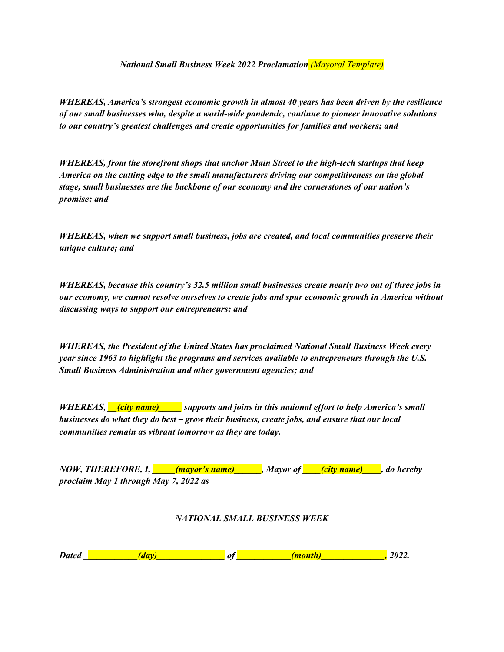*National Small Business Week 2022 Proclamation (Mayoral Template)*

*WHEREAS, America's strongest economic growth in almost 40 years has been driven by the resilience of our small businesses who, despite a world-wide pandemic, continue to pioneer innovative solutions to our country's greatest challenges and create opportunities for families and workers; and*

*WHEREAS, from the storefront shops that anchor Main Street to the high-tech startups that keep America on the cutting edge to the small manufacturers driving our competitiveness on the global stage, small businesses are the backbone of our economy and the cornerstones of our nation's promise; and*

*WHEREAS, when we support small business, jobs are created, and local communities preserve their unique culture; and*

*WHEREAS, because this country's 32.5 million small businesses create nearly two out of three jobs in our economy, we cannot resolve ourselves to create jobs and spur economic growth in America without discussing ways to support our entrepreneurs; and*

*WHEREAS, the President of the United States has proclaimed National Small Business Week every year since 1963 to highlight the programs and services available to entrepreneurs through the U.S. Small Business Administration and other government agencies; and*

*WHEREAS, \_\_(city name)\_\_\_\_\_ supports and joins in this national effort to help America's small businesses do what they do best – grow their business, create jobs, and ensure that our local communities remain as vibrant tomorrow as they are today.*

| NOW, THEREFORE, I, <i>mayor's name</i> |  | Mayor of <b>city name</b> , do hereby |  |
|----------------------------------------|--|---------------------------------------|--|
| proclaim May 1 through May 7, 2022 as  |  |                                       |  |

## *NATIONAL SMALL BUSINESS WEEK*

| <b>Dated</b> |
|--------------|
|--------------|